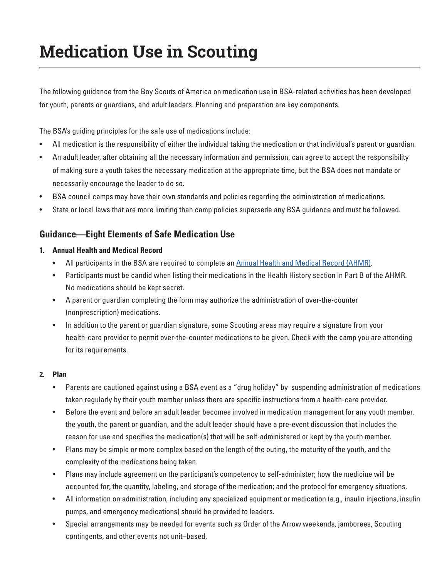# **Medication Use in Scouting**

The following guidance from the Boy Scouts of America on medication use in BSA-related activities has been developed for youth, parents or guardians, and adult leaders. Planning and preparation are key components.

The BSA's guiding principles for the safe use of medications include:

- All medication is the responsibility of either the individual taking the medication or that individual's parent or guardian.
- An adult leader, after obtaining all the necessary information and permission, can agree to accept the responsibility of making sure a youth takes the necessary medication at the appropriate time, but the BSA does not mandate or necessarily encourage the leader to do so.
- BSA council camps may have their own standards and policies regarding the administration of medications.
- State or local laws that are more limiting than camp policies supersede any BSA guidance and must be followed.

# **Guidance—Eight Elements of Safe Medication Use**

- **1. Annual Health and Medical Record**
	- All participants in the BSA are required to complete an [Annual Health and Medical Record \(AHMR\)](https://www.scouting.org/health-and-safety/ahmr/).
	- Participants must be candid when listing their medications in the Health History section in Part B of the AHMR. No medications should be kept secret.
	- A parent or guardian completing the form may authorize the administration of over-the-counter (nonprescription) medications.
	- In addition to the parent or guardian signature, some Scouting areas may require a signature from your health-care provider to permit over-the-counter medications to be given. Check with the camp you are attending for its requirements.

# **2. Plan**

- Parents are cautioned against using a BSA event as a "drug holiday" by suspending administration of medications taken regularly by their youth member unless there are specific instructions from a health-care provider.
- Before the event and before an adult leader becomes involved in medication management for any youth member, the youth, the parent or guardian, and the adult leader should have a pre-event discussion that includes the reason for use and specifies the medication(s) that will be self-administered or kept by the youth member.
- Plans may be simple or more complex based on the length of the outing, the maturity of the youth, and the complexity of the medications being taken.
- Plans may include agreement on the participant's competency to self-administer; how the medicine will be accounted for; the quantity, labeling, and storage of the medication; and the protocol for emergency situations.
- All information on administration, including any specialized equipment or medication (e.g., insulin injections, insulin pumps, and emergency medications) should be provided to leaders.
- Special arrangements may be needed for events such as Order of the Arrow weekends, jamborees, Scouting contingents, and other events not unit–based.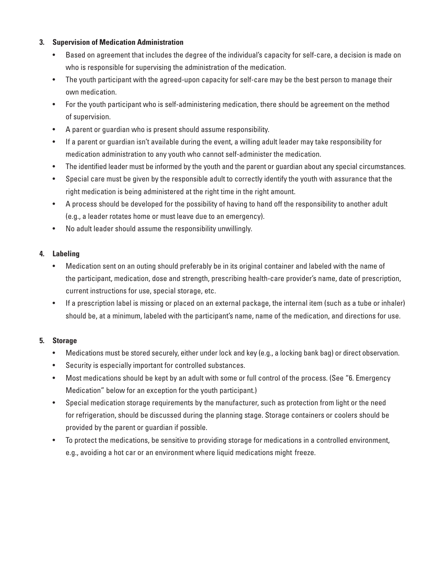## **3. Supervision of Medication Administration**

- Based on agreement that includes the degree of the individual's capacity for self-care, a decision is made on who is responsible for supervising the administration of the medication.
- The youth participant with the agreed-upon capacity for self-care may be the best person to manage their own medication.
- For the youth participant who is self-administering medication, there should be agreement on the method of supervision.
- A parent or guardian who is present should assume responsibility.
- If a parent or guardian isn't available during the event, a willing adult leader may take responsibility for medication administration to any youth who cannot self-administer the medication.
- The identified leader must be informed by the youth and the parent or guardian about any special circumstances.
- Special care must be given by the responsible adult to correctly identify the youth with assurance that the right medication is being administered at the right time in the right amount.
- A process should be developed for the possibility of having to hand off the responsibility to another adult (e.g., a leader rotates home or must leave due to an emergency).
- No adult leader should assume the responsibility unwillingly.

## **4. Labeling**

- Medication sent on an outing should preferably be in its original container and labeled with the name of the participant, medication, dose and strength, prescribing health-care provider's name, date of prescription, current instructions for use, special storage, etc.
- If a prescription label is missing or placed on an external package, the internal item (such as a tube or inhaler) should be, at a minimum, labeled with the participant's name, name of the medication, and directions for use.

# **5. Storage**

- Medications must be stored securely, either under lock and key (e.g., a locking bank bag) or direct observation.
- Security is especially important for controlled substances.
- Most medications should be kept by an adult with some or full control of the process. (See "6. Emergency Medication" below for an exception for the youth participant.)
- Special medication storage requirements by the manufacturer, such as protection from light or the need for refrigeration, should be discussed during the planning stage. Storage containers or coolers should be provided by the parent or guardian if possible.
- To protect the medications, be sensitive to providing storage for medications in a controlled environment, e.g., avoiding a hot car or an environment where liquid medications might freeze.